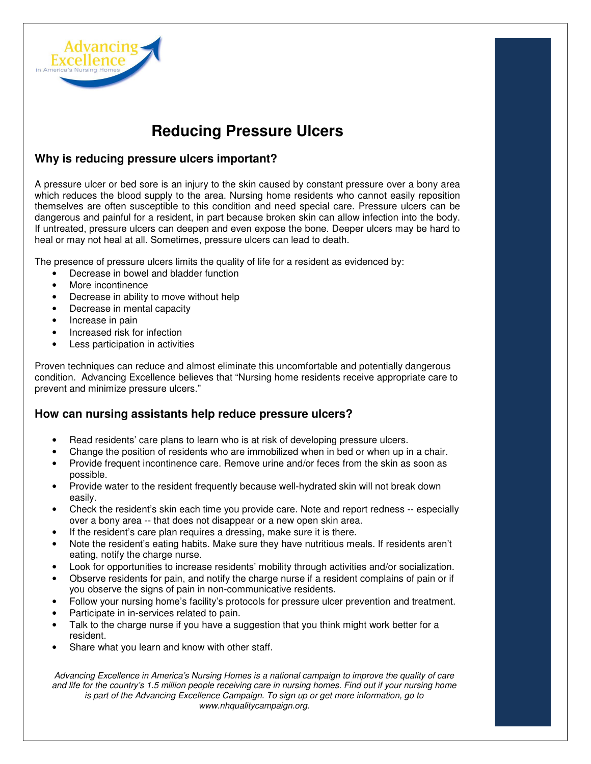

# **Reducing Pressure Ulcers**

## **Why is reducing pressure ulcers important?**

A pressure ulcer or bed sore is an injury to the skin caused by constant pressure over a bony area which reduces the blood supply to the area. Nursing home residents who cannot easily reposition themselves are often susceptible to this condition and need special care. Pressure ulcers can be dangerous and painful for a resident, in part because broken skin can allow infection into the body. If untreated, pressure ulcers can deepen and even expose the bone. Deeper ulcers may be hard to heal or may not heal at all. Sometimes, pressure ulcers can lead to death.

The presence of pressure ulcers limits the quality of life for a resident as evidenced by:

- Decrease in bowel and bladder function
- More incontinence
- Decrease in ability to move without help
- Decrease in mental capacity
- Increase in pain
- Increased risk for infection
- Less participation in activities

Proven techniques can reduce and almost eliminate this uncomfortable and potentially dangerous condition. Advancing Excellence believes that "Nursing home residents receive appropriate care to prevent and minimize pressure ulcers."

#### **How can nursing assistants help reduce pressure ulcers?**

- Read residents' care plans to learn who is at risk of developing pressure ulcers.
- Change the position of residents who are immobilized when in bed or when up in a chair.
- Provide frequent incontinence care. Remove urine and/or feces from the skin as soon as possible.
- Provide water to the resident frequently because well-hydrated skin will not break down easily.
- Check the resident's skin each time you provide care. Note and report redness -- especially over a bony area -- that does not disappear or a new open skin area.
- If the resident's care plan requires a dressing, make sure it is there.
- Note the resident's eating habits. Make sure they have nutritious meals. If residents aren't eating, notify the charge nurse.
- Look for opportunities to increase residents' mobility through activities and/or socialization.
- Observe residents for pain, and notify the charge nurse if a resident complains of pain or if you observe the signs of pain in non-communicative residents.
- Follow your nursing home's facility's protocols for pressure ulcer prevention and treatment.
- Participate in in-services related to pain.
- Talk to the charge nurse if you have a suggestion that you think might work better for a resident.
- Share what you learn and know with other staff.

Advancing Excellence in America's Nursing Homes is a national campaign to improve the quality of care and life for the country's 1.5 million people receiving care in nursing homes. Find out if your nursing home is part of the Advancing Excellence Campaign. To sign up or get more information, go to www.nhqualitycampaign.org.